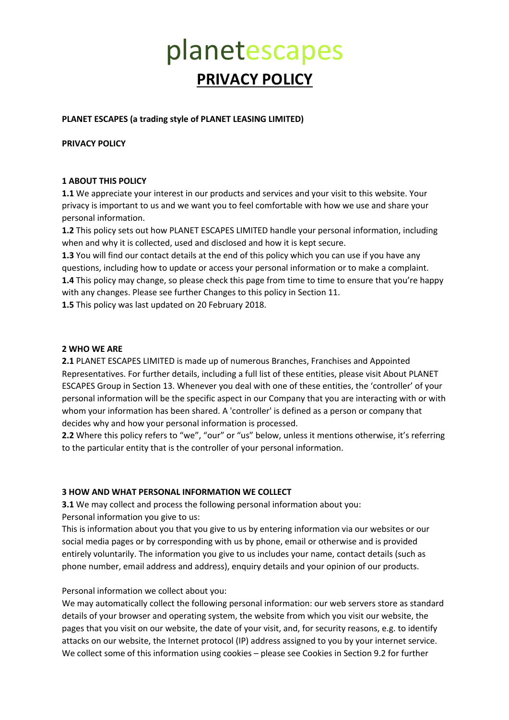#### **PLANET ESCAPES (a trading style of PLANET LEASING LIMITED)**

**PRIVACY POLICY**

#### **1 ABOUT THIS POLICY**

**1.1** We appreciate your interest in our products and services and your visit to this website. Your privacy is important to us and we want you to feel comfortable with how we use and share your personal information.

**1.2** This policy sets out how PLANET ESCAPES LIMITED handle your personal information, including when and why it is collected, used and disclosed and how it is kept secure.

**1.3** You will find our contact details at the end of this policy which you can use if you have any questions, including how to update or access your personal information or to make a complaint. **1.4** This policy may change, so please check this page from time to time to ensure that you're happy with any changes. Please see further Changes to this policy in Section 11.

**1.5** This policy was last updated on 20 February 2018.

#### **2 WHO WE ARE**

**2.1** PLANET ESCAPES LIMITED is made up of numerous Branches, Franchises and Appointed Representatives. For further details, including a full list of these entities, please visit About PLANET ESCAPES Group in Section 13. Whenever you deal with one of these entities, the 'controller' of your personal information will be the specific aspect in our Company that you are interacting with or with whom your information has been shared. A 'controller' is defined as a person or company that decides why and how your personal information is processed.

2.2 Where this policy refers to "we", "our" or "us" below, unless it mentions otherwise, it's referring to the particular entity that is the controller of your personal information.

### **3 HOW AND WHAT PERSONAL INFORMATION WE COLLECT**

**3.1** We may collect and process the following personal information about you: Personal information you give to us:

This is information about you that you give to us by entering information via our websites or our social media pages or by corresponding with us by phone, email or otherwise and is provided entirely voluntarily. The information you give to us includes your name, contact details (such as phone number, email address and address), enquiry details and your opinion of our products.

#### Personal information we collect about you:

We may automatically collect the following personal information: our web servers store as standard details of your browser and operating system, the website from which you visit our website, the pages that you visit on our website, the date of your visit, and, for security reasons, e.g. to identify attacks on our website, the Internet protocol (IP) address assigned to you by your internet service. We collect some of this information using cookies – please see Cookies in Section 9.2 for further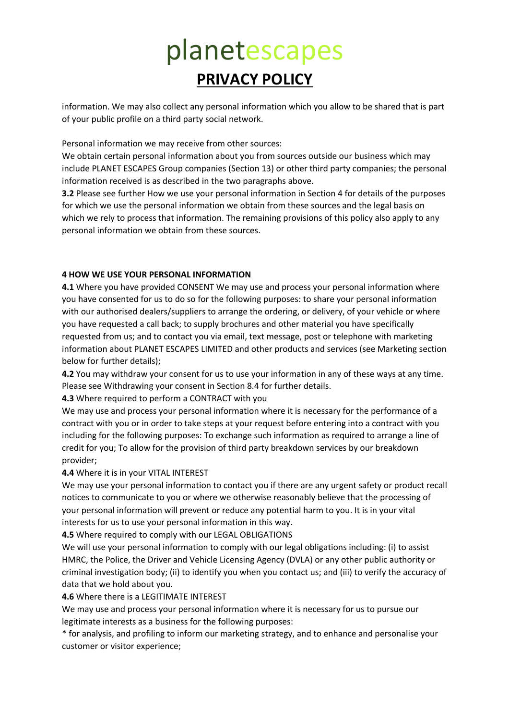information. We may also collect any personal information which you allow to be shared that is part of your public profile on a third party social network.

Personal information we may receive from other sources:

We obtain certain personal information about you from sources outside our business which may include PLANET ESCAPES Group companies (Section 13) or other third party companies; the personal information received is as described in the two paragraphs above.

**3.2** Please see further How we use your personal information in Section 4 for details of the purposes for which we use the personal information we obtain from these sources and the legal basis on which we rely to process that information. The remaining provisions of this policy also apply to any personal information we obtain from these sources.

### **4 HOW WE USE YOUR PERSONAL INFORMATION**

**4.1** Where you have provided CONSENT We may use and process your personal information where you have consented for us to do so for the following purposes: to share your personal information with our authorised dealers/suppliers to arrange the ordering, or delivery, of your vehicle or where you have requested a call back; to supply brochures and other material you have specifically requested from us; and to contact you via email, text message, post or telephone with marketing information about PLANET ESCAPES LIMITED and other products and services (see Marketing section below for further details);

**4.2** You may withdraw your consent for us to use your information in any of these ways at any time. Please see Withdrawing your consent in Section 8.4 for further details.

**4.3** Where required to perform a CONTRACT with you

We may use and process your personal information where it is necessary for the performance of a contract with you or in order to take steps at your request before entering into a contract with you including for the following purposes: To exchange such information as required to arrange a line of credit for you; To allow for the provision of third party breakdown services by our breakdown provider;

### **4.4** Where it is in your VITAL INTEREST

We may use your personal information to contact you if there are any urgent safety or product recall notices to communicate to you or where we otherwise reasonably believe that the processing of your personal information will prevent or reduce any potential harm to you. It is in your vital interests for us to use your personal information in this way.

**4.5** Where required to comply with our LEGAL OBLIGATIONS

We will use your personal information to comply with our legal obligations including: (i) to assist HMRC, the Police, the Driver and Vehicle Licensing Agency (DVLA) or any other public authority or criminal investigation body; (ii) to identify you when you contact us; and (iii) to verify the accuracy of data that we hold about you.

**4.6** Where there is a LEGITIMATE INTEREST

We may use and process your personal information where it is necessary for us to pursue our legitimate interests as a business for the following purposes:

\* for analysis, and profiling to inform our marketing strategy, and to enhance and personalise your customer or visitor experience;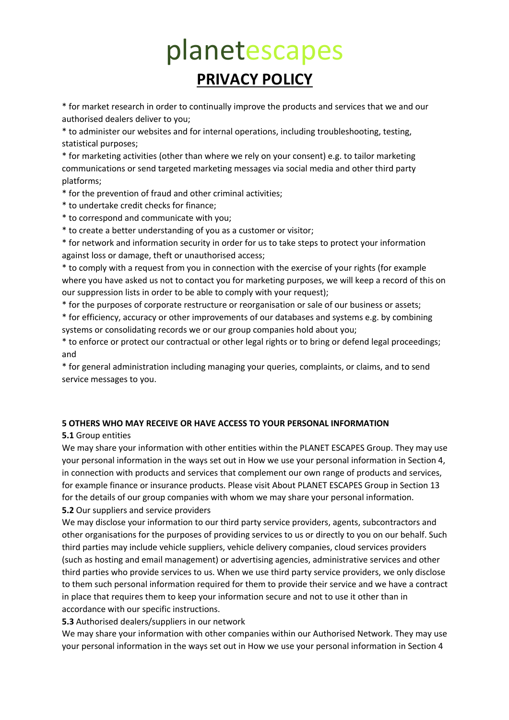\* for market research in order to continually improve the products and services that we and our authorised dealers deliver to you;

\* to administer our websites and for internal operations, including troubleshooting, testing, statistical purposes;

\* for marketing activities (other than where we rely on your consent) e.g. to tailor marketing communications or send targeted marketing messages via social media and other third party platforms;

\* for the prevention of fraud and other criminal activities;

- \* to undertake credit checks for finance;
- \* to correspond and communicate with you;
- \* to create a better understanding of you as a customer or visitor;

\* for network and information security in order for us to take steps to protect your information against loss or damage, theft or unauthorised access;

\* to comply with a request from you in connection with the exercise of your rights (for example where you have asked us not to contact you for marketing purposes, we will keep a record of this on our suppression lists in order to be able to comply with your request);

\* for the purposes of corporate restructure or reorganisation or sale of our business or assets;

\* for efficiency, accuracy or other improvements of our databases and systems e.g. by combining systems or consolidating records we or our group companies hold about you;

\* to enforce or protect our contractual or other legal rights or to bring or defend legal proceedings; and

\* for general administration including managing your queries, complaints, or claims, and to send service messages to you.

### **5 OTHERS WHO MAY RECEIVE OR HAVE ACCESS TO YOUR PERSONAL INFORMATION**

### **5.1** Group entities

We may share your information with other entities within the PLANET ESCAPES Group. They may use your personal information in the ways set out in How we use your personal information in Section 4, in connection with products and services that complement our own range of products and services, for example finance or insurance products. Please visit About PLANET ESCAPES Group in Section 13 for the details of our group companies with whom we may share your personal information. **5.2** Our suppliers and service providers

We may disclose your information to our third party service providers, agents, subcontractors and other organisations for the purposes of providing services to us or directly to you on our behalf. Such third parties may include vehicle suppliers, vehicle delivery companies, cloud services providers (such as hosting and email management) or advertising agencies, administrative services and other third parties who provide services to us. When we use third party service providers, we only disclose to them such personal information required for them to provide their service and we have a contract in place that requires them to keep your information secure and not to use it other than in accordance with our specific instructions.

**5.3** Authorised dealers/suppliers in our network

We may share your information with other companies within our Authorised Network. They may use your personal information in the ways set out in How we use your personal information in Section 4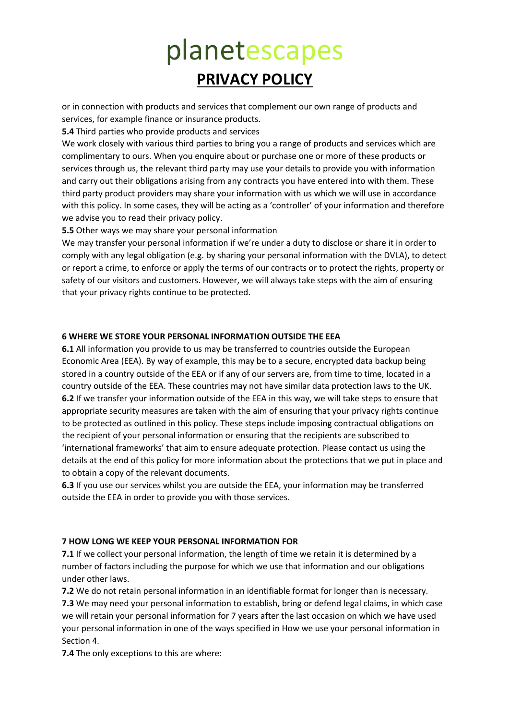or in connection with products and services that complement our own range of products and services, for example finance or insurance products.

**5.4** Third parties who provide products and services

We work closely with various third parties to bring you a range of products and services which are complimentary to ours. When you enquire about or purchase one or more of these products or services through us, the relevant third party may use your details to provide you with information and carry out their obligations arising from any contracts you have entered into with them. These third party product providers may share your information with us which we will use in accordance with this policy. In some cases, they will be acting as a 'controller' of your information and therefore we advise you to read their privacy policy.

**5.5** Other ways we may share your personal information

We may transfer your personal information if we're under a duty to disclose or share it in order to comply with any legal obligation (e.g. by sharing your personal information with the DVLA), to detect or report a crime, to enforce or apply the terms of our contracts or to protect the rights, property or safety of our visitors and customers. However, we will always take steps with the aim of ensuring that your privacy rights continue to be protected.

### **6 WHERE WE STORE YOUR PERSONAL INFORMATION OUTSIDE THE EEA**

**6.1** All information you provide to us may be transferred to countries outside the European Economic Area (EEA). By way of example, this may be to a secure, encrypted data backup being stored in a country outside of the EEA or if any of our servers are, from time to time, located in a country outside of the EEA. These countries may not have similar data protection laws to the UK. **6.2** If we transfer your information outside of the EEA in this way, we will take steps to ensure that appropriate security measures are taken with the aim of ensuring that your privacy rights continue to be protected as outlined in this policy. These steps include imposing contractual obligations on the recipient of your personal information or ensuring that the recipients are subscribed to 'international frameworks' that aim to ensure adequate protection. Please contact us using the details at the end of this policy for more information about the protections that we put in place and to obtain a copy of the relevant documents.

**6.3** If you use our services whilst you are outside the EEA, your information may be transferred outside the EEA in order to provide you with those services.

### **7 HOW LONG WE KEEP YOUR PERSONAL INFORMATION FOR**

**7.1** If we collect your personal information, the length of time we retain it is determined by a number of factors including the purpose for which we use that information and our obligations under other laws.

**7.2** We do not retain personal information in an identifiable format for longer than is necessary. **7.3** We may need your personal information to establish, bring or defend legal claims, in which case we will retain your personal information for 7 years after the last occasion on which we have used your personal information in one of the ways specified in How we use your personal information in Section 4.

**7.4** The only exceptions to this are where: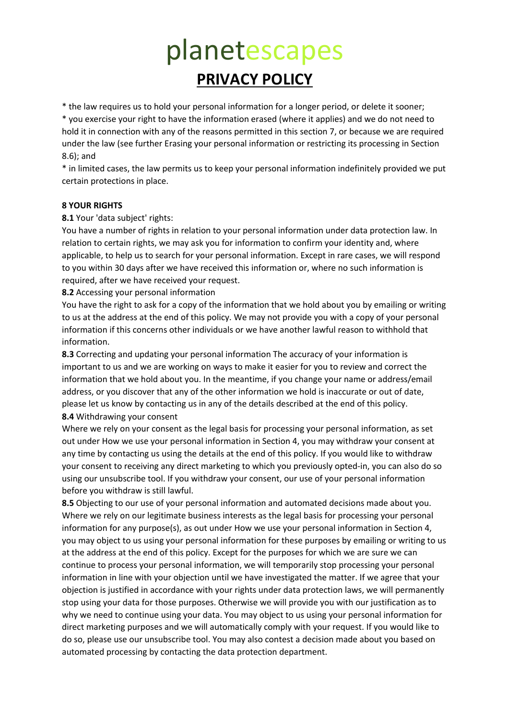\* the law requires us to hold your personal information for a longer period, or delete it sooner;

\* you exercise your right to have the information erased (where it applies) and we do not need to hold it in connection with any of the reasons permitted in this section 7, or because we are required under the law (see further Erasing your personal information or restricting its processing in Section 8.6); and

\* in limited cases, the law permits us to keep your personal information indefinitely provided we put certain protections in place.

#### **8 YOUR RIGHTS**

**8.1** Your 'data subject' rights:

You have a number of rights in relation to your personal information under data protection law. In relation to certain rights, we may ask you for information to confirm your identity and, where applicable, to help us to search for your personal information. Except in rare cases, we will respond to you within 30 days after we have received this information or, where no such information is required, after we have received your request.

**8.2** Accessing your personal information

You have the right to ask for a copy of the information that we hold about you by emailing or writing to us at the address at the end of this policy. We may not provide you with a copy of your personal information if this concerns other individuals or we have another lawful reason to withhold that information.

**8.3** Correcting and updating your personal information The accuracy of your information is important to us and we are working on ways to make it easier for you to review and correct the information that we hold about you. In the meantime, if you change your name or address/email address, or you discover that any of the other information we hold is inaccurate or out of date, please let us know by contacting us in any of the details described at the end of this policy. **8.4** Withdrawing your consent

Where we rely on your consent as the legal basis for processing your personal information, as set out under How we use your personal information in Section 4, you may withdraw your consent at any time by contacting us using the details at the end of this policy. If you would like to withdraw your consent to receiving any direct marketing to which you previously opted-in, you can also do so using our unsubscribe tool. If you withdraw your consent, our use of your personal information before you withdraw is still lawful.

**8.5** Objecting to our use of your personal information and automated decisions made about you. Where we rely on our legitimate business interests as the legal basis for processing your personal information for any purpose(s), as out under How we use your personal information in Section 4, you may object to us using your personal information for these purposes by emailing or writing to us at the address at the end of this policy. Except for the purposes for which we are sure we can continue to process your personal information, we will temporarily stop processing your personal information in line with your objection until we have investigated the matter. If we agree that your objection is justified in accordance with your rights under data protection laws, we will permanently stop using your data for those purposes. Otherwise we will provide you with our justification as to why we need to continue using your data. You may object to us using your personal information for direct marketing purposes and we will automatically comply with your request. If you would like to do so, please use our unsubscribe tool. You may also contest a decision made about you based on automated processing by contacting the data protection department.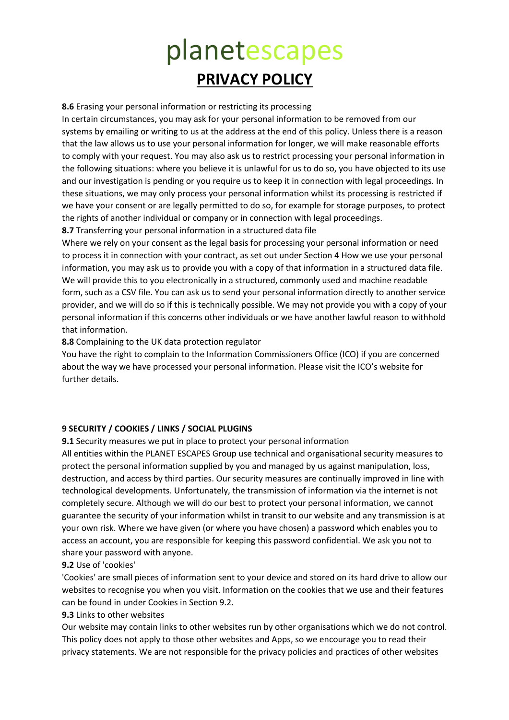**8.6** Erasing your personal information or restricting its processing

In certain circumstances, you may ask for your personal information to be removed from our systems by emailing or writing to us at the address at the end of this policy. Unless there is a reason that the law allows us to use your personal information for longer, we will make reasonable efforts to comply with your request. You may also ask us to restrict processing your personal information in the following situations: where you believe it is unlawful for us to do so, you have objected to its use and our investigation is pending or you require us to keep it in connection with legal proceedings. In these situations, we may only process your personal information whilst its processing is restricted if we have your consent or are legally permitted to do so, for example for storage purposes, to protect the rights of another individual or company or in connection with legal proceedings.

**8.7** Transferring your personal information in a structured data file

Where we rely on your consent as the legal basis for processing your personal information or need to process it in connection with your contract, as set out under Section 4 How we use your personal information, you may ask us to provide you with a copy of that information in a structured data file. We will provide this to you electronically in a structured, commonly used and machine readable form, such as a CSV file. You can ask us to send your personal information directly to another service provider, and we will do so if this is technically possible. We may not provide you with a copy of your personal information if this concerns other individuals or we have another lawful reason to withhold that information.

**8.8** Complaining to the UK data protection regulator

You have the right to complain to the Information Commissioners Office (ICO) if you are concerned about the way we have processed your personal information. Please visit the ICO's website for further details.

### **9 SECURITY / COOKIES / LINKS / SOCIAL PLUGINS**

**9.1** Security measures we put in place to protect your personal information

All entities within the PLANET ESCAPES Group use technical and organisational security measures to protect the personal information supplied by you and managed by us against manipulation, loss, destruction, and access by third parties. Our security measures are continually improved in line with technological developments. Unfortunately, the transmission of information via the internet is not completely secure. Although we will do our best to protect your personal information, we cannot guarantee the security of your information whilst in transit to our website and any transmission is at your own risk. Where we have given (or where you have chosen) a password which enables you to access an account, you are responsible for keeping this password confidential. We ask you not to share your password with anyone.

### **9.2** Use of 'cookies'

'Cookies' are small pieces of information sent to your device and stored on its hard drive to allow our websites to recognise you when you visit. Information on the cookies that we use and their features can be found in under Cookies in Section 9.2.

### **9.3** Links to other websites

Our website may contain links to other websites run by other organisations which we do not control. This policy does not apply to those other websites and Apps, so we encourage you to read their privacy statements. We are not responsible for the privacy policies and practices of other websites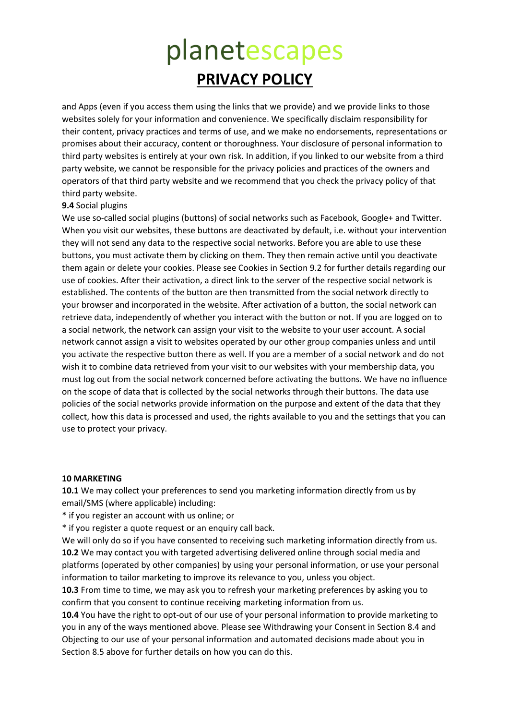and Apps (even if you access them using the links that we provide) and we provide links to those websites solely for your information and convenience. We specifically disclaim responsibility for their content, privacy practices and terms of use, and we make no endorsements, representations or promises about their accuracy, content or thoroughness. Your disclosure of personal information to third party websites is entirely at your own risk. In addition, if you linked to our website from a third party website, we cannot be responsible for the privacy policies and practices of the owners and operators of that third party website and we recommend that you check the privacy policy of that third party website.

#### **9.4** Social plugins

We use so-called social plugins (buttons) of social networks such as Facebook, Google+ and Twitter. When you visit our websites, these buttons are deactivated by default, i.e. without your intervention they will not send any data to the respective social networks. Before you are able to use these buttons, you must activate them by clicking on them. They then remain active until you deactivate them again or delete your cookies. Please see Cookies in Section 9.2 for further details regarding our use of cookies. After their activation, a direct link to the server of the respective social network is established. The contents of the button are then transmitted from the social network directly to your browser and incorporated in the website. After activation of a button, the social network can retrieve data, independently of whether you interact with the button or not. If you are logged on to a social network, the network can assign your visit to the website to your user account. A social network cannot assign a visit to websites operated by our other group companies unless and until you activate the respective button there as well. If you are a member of a social network and do not wish it to combine data retrieved from your visit to our websites with your membership data, you must log out from the social network concerned before activating the buttons. We have no influence on the scope of data that is collected by the social networks through their buttons. The data use policies of the social networks provide information on the purpose and extent of the data that they collect, how this data is processed and used, the rights available to you and the settings that you can use to protect your privacy.

#### **10 MARKETING**

**10.1** We may collect your preferences to send you marketing information directly from us by email/SMS (where applicable) including:

\* if you register an account with us online; or

\* if you register a quote request or an enquiry call back.

We will only do so if you have consented to receiving such marketing information directly from us. **10.2** We may contact you with targeted advertising delivered online through social media and platforms (operated by other companies) by using your personal information, or use your personal information to tailor marketing to improve its relevance to you, unless you object.

**10.3** From time to time, we may ask you to refresh your marketing preferences by asking you to confirm that you consent to continue receiving marketing information from us.

**10.4** You have the right to opt-out of our use of your personal information to provide marketing to you in any of the ways mentioned above. Please see Withdrawing your Consent in Section 8.4 and Objecting to our use of your personal information and automated decisions made about you in Section 8.5 above for further details on how you can do this.